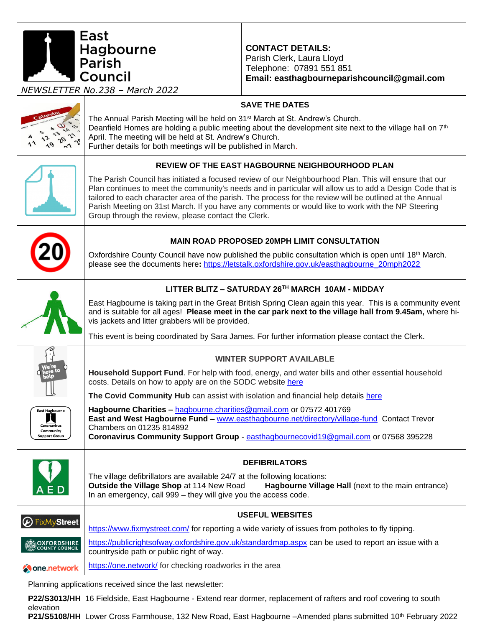East Hagbourne<br>Parish **CONTACT DETAILS:** Parish Clerk, Laura Lloyd Telephone: 07891 551 851 l Council **Email: easthagbourneparishcouncil@gmail.com** *NEWSLETTER No.238 – March 2022* **SAVE THE DATES** The Annual Parish Meeting will be held on 31<sup>st</sup> March at St. Andrew's Church. Deanfield Homes are holding a public meeting about the development site next to the village hall on 7<sup>th</sup>  $\hat{\mathbf{c}}$ ふ April. The meeting will be held at St. Andrew's Church.  $9 + 2$ ηQ  $\sim$ Further details for both meetings will be published in March. **REVIEW OF THE EAST HAGBOURNE NEIGHBOURHOOD PLAN** The Parish Council has initiated a focused review of our Neighbourhood Plan. This will ensure that our Plan continues to meet the community's needs and in particular will allow us to add a Design Code that is tailored to each character area of the parish. The process for the review will be outlined at the Annual Parish Meeting on 31st March. If you have any comments or would like to work with the NP Steering Group through the review, please contact the Clerk. **MAIN ROAD PROPOSED 20MPH LIMIT CONSULTATION** Oxfordshire County Council have now published the public consultation which is open until 18<sup>th</sup> March. please see the documents here**:** [https://letstalk.oxfordshire.gov.uk/easthagbourne\\_20mph2022](https://letstalk.oxfordshire.gov.uk/easthagbourne_20mph2022) **LITTER BLITZ – SATURDAY 26TH MARCH 10AM - MIDDAY** East Hagbourne is taking part in the Great British Spring Clean again this year. This is a community event and is suitable for all ages! **Please meet in the car park next to the village hall from 9.45am,** where hivis jackets and litter grabbers will be provided. This event is being coordinated by Sara James. For further information please contact the Clerk. **WINTER SUPPORT AVAILABLE Household Support Fund**. For help with food, energy, and water bills and other essential household costs. Details on how to apply are on the SODC website [here](https://www.southoxon.gov.uk/south-oxfordshire-district-council/coronavirus-community-support/household-support-fund/) **The Covid Community Hub** can assist with isolation and financial help details [here](https://www.southoxon.gov.uk/south-oxfordshire-district-council/coronavirus-community-support/help-for-individuals/) **Hagbourne Charities –** [hagbourne.charities@gmail.com](mailto:hagbourne.charities@gmail.com) or 07572 401769 **East and West Hagbourne Fund –** [www.easthagbourne.net/directory/village-fund](http://www.easthagbourne.net/directory/village-fund) Contact Trevor Chambers on 01235 814892 Community **Coronavirus Community Support Group** - [easthagbournecovid19@gmail.com](mailto:easthagbournecovid19@gmail.com) or 07568 395228 .<br>Support Group **DEFIBRILATORS** The village defibrillators are available 24/7 at the following locations: **Outside the Village Shop** at 114 New Road **Hagbourne Village Hall** (next to the main entrance) In an emergency, call 999 – they will give you the access code. **USEFUL WEBSITES** FixMyStreet <https://www.fixmystreet.com/> for reporting a wide variety of issues from potholes to fly tipping. <https://publicrightsofway.oxfordshire.gov.uk/standardmap.aspx> can be used to report an issue with a **SOXFORDSHIRE**<br>V COUNTY COUNCIL countryside path or public right of way. <https://one.network/> for checking roadworks in the area **Mone**.network

Planning applications received since the last newsletter:

**P22/S3013/HH** 16 Fieldside, East Hagbourne - Extend rear dormer, replacement of rafters and roof covering to south elevation

**P21/S5108/HH** Lower Cross Farmhouse, 132 New Road, East Hagbourne –Amended plans submitted 10<sup>th</sup> February 2022